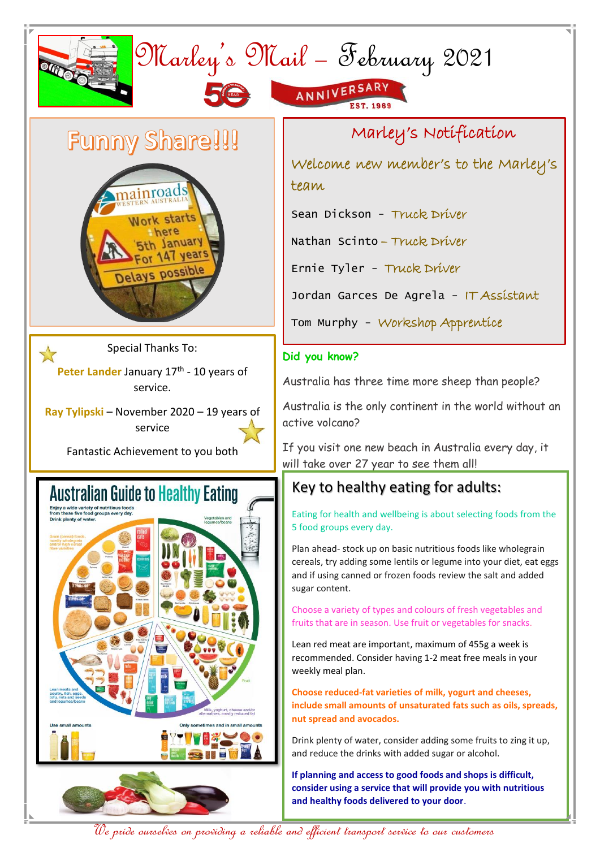

We pride ourselves on providing a reliable and efficient transport service to our customers